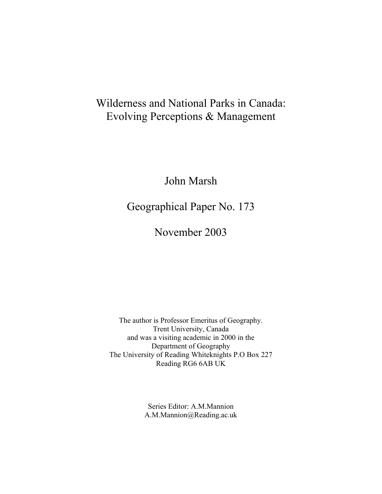# Wilderness and National Parks in Canada: Evolving Perceptions & Management

John Marsh

Geographical Paper No. 173

November 2003

The author is Professor Emeritus of Geography. Trent University, Canada and was a visiting academic in 2000 in the Department of Geography The University of Reading Whiteknights P.O Box 227 Reading RG6 6AB UK

> Series Editor: A.M.Mannion A.M.Mannion@Reading.ac.uk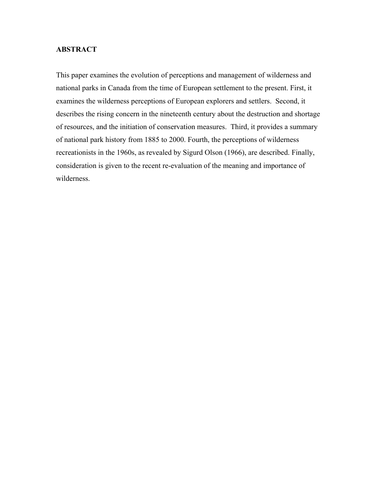# **ABSTRACT**

This paper examines the evolution of perceptions and management of wilderness and national parks in Canada from the time of European settlement to the present. First, it examines the wilderness perceptions of European explorers and settlers. Second, it describes the rising concern in the nineteenth century about the destruction and shortage of resources, and the initiation of conservation measures. Third, it provides a summary of national park history from 1885 to 2000. Fourth, the perceptions of wilderness recreationists in the 1960s, as revealed by Sigurd Olson (1966), are described. Finally, consideration is given to the recent re-evaluation of the meaning and importance of wilderness.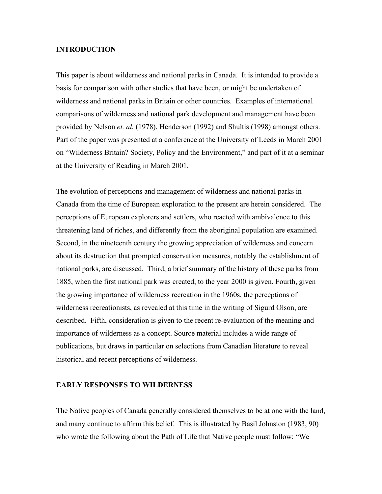## **INTRODUCTION**

This paper is about wilderness and national parks in Canada. It is intended to provide a basis for comparison with other studies that have been, or might be undertaken of wilderness and national parks in Britain or other countries. Examples of international comparisons of wilderness and national park development and management have been provided by Nelson *et. al.* (1978), Henderson (1992) and Shultis (1998) amongst others. Part of the paper was presented at a conference at the University of Leeds in March 2001 on "Wilderness Britain? Society, Policy and the Environment," and part of it at a seminar at the University of Reading in March 2001.

The evolution of perceptions and management of wilderness and national parks in Canada from the time of European exploration to the present are herein considered. The perceptions of European explorers and settlers, who reacted with ambivalence to this threatening land of riches, and differently from the aboriginal population are examined. Second, in the nineteenth century the growing appreciation of wilderness and concern about its destruction that prompted conservation measures, notably the establishment of national parks, are discussed. Third, a brief summary of the history of these parks from 1885, when the first national park was created, to the year 2000 is given. Fourth, given the growing importance of wilderness recreation in the 1960s, the perceptions of wilderness recreationists, as revealed at this time in the writing of Sigurd Olson, are described. Fifth, consideration is given to the recent re-evaluation of the meaning and importance of wilderness as a concept. Source material includes a wide range of publications, but draws in particular on selections from Canadian literature to reveal historical and recent perceptions of wilderness.

## **EARLY RESPONSES TO WILDERNESS**

The Native peoples of Canada generally considered themselves to be at one with the land, and many continue to affirm this belief. This is illustrated by Basil Johnston (1983, 90) who wrote the following about the Path of Life that Native people must follow: "We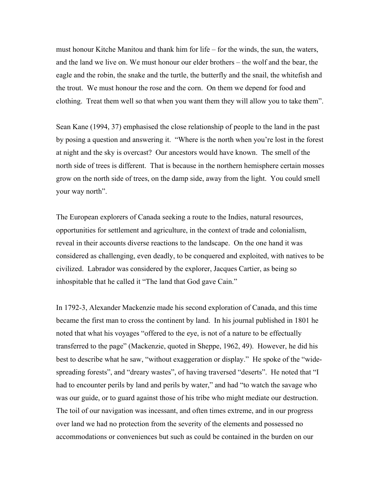must honour Kitche Manitou and thank him for life – for the winds, the sun, the waters, and the land we live on. We must honour our elder brothers – the wolf and the bear, the eagle and the robin, the snake and the turtle, the butterfly and the snail, the whitefish and the trout. We must honour the rose and the corn. On them we depend for food and clothing. Treat them well so that when you want them they will allow you to take them".

Sean Kane (1994, 37) emphasised the close relationship of people to the land in the past by posing a question and answering it. "Where is the north when you're lost in the forest at night and the sky is overcast? Our ancestors would have known. The smell of the north side of trees is different. That is because in the northern hemisphere certain mosses grow on the north side of trees, on the damp side, away from the light. You could smell your way north".

The European explorers of Canada seeking a route to the Indies, natural resources, opportunities for settlement and agriculture, in the context of trade and colonialism, reveal in their accounts diverse reactions to the landscape. On the one hand it was considered as challenging, even deadly, to be conquered and exploited, with natives to be civilized. Labrador was considered by the explorer, Jacques Cartier, as being so inhospitable that he called it "The land that God gave Cain."

In 1792-3, Alexander Mackenzie made his second exploration of Canada, and this time became the first man to cross the continent by land. In his journal published in 1801 he noted that what his voyages "offered to the eye, is not of a nature to be effectually transferred to the page" (Mackenzie, quoted in Sheppe, 1962, 49). However, he did his best to describe what he saw, "without exaggeration or display." He spoke of the "widespreading forests", and "dreary wastes", of having traversed "deserts". He noted that "I had to encounter perils by land and perils by water," and had "to watch the savage who was our guide, or to guard against those of his tribe who might mediate our destruction. The toil of our navigation was incessant, and often times extreme, and in our progress over land we had no protection from the severity of the elements and possessed no accommodations or conveniences but such as could be contained in the burden on our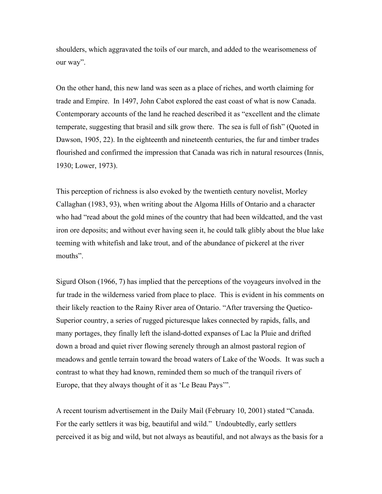shoulders, which aggravated the toils of our march, and added to the wearisomeness of our way".

On the other hand, this new land was seen as a place of riches, and worth claiming for trade and Empire. In 1497, John Cabot explored the east coast of what is now Canada. Contemporary accounts of the land he reached described it as "excellent and the climate temperate, suggesting that brasil and silk grow there. The sea is full of fish" (Quoted in Dawson, 1905, 22). In the eighteenth and nineteenth centuries, the fur and timber trades flourished and confirmed the impression that Canada was rich in natural resources (Innis, 1930; Lower, 1973).

This perception of richness is also evoked by the twentieth century novelist, Morley Callaghan (1983, 93), when writing about the Algoma Hills of Ontario and a character who had "read about the gold mines of the country that had been wildcatted, and the vast iron ore deposits; and without ever having seen it, he could talk glibly about the blue lake teeming with whitefish and lake trout, and of the abundance of pickerel at the river mouths".

Sigurd Olson (1966, 7) has implied that the perceptions of the voyageurs involved in the fur trade in the wilderness varied from place to place. This is evident in his comments on their likely reaction to the Rainy River area of Ontario. "After traversing the Quetico-Superior country, a series of rugged picturesque lakes connected by rapids, falls, and many portages, they finally left the island-dotted expanses of Lac la Pluie and drifted down a broad and quiet river flowing serenely through an almost pastoral region of meadows and gentle terrain toward the broad waters of Lake of the Woods. It was such a contrast to what they had known, reminded them so much of the tranquil rivers of Europe, that they always thought of it as 'Le Beau Pays'".

A recent tourism advertisement in the Daily Mail (February 10, 2001) stated "Canada. For the early settlers it was big, beautiful and wild." Undoubtedly, early settlers perceived it as big and wild, but not always as beautiful, and not always as the basis for a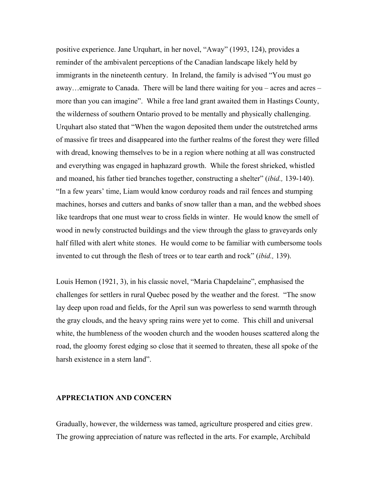positive experience. Jane Urquhart, in her novel, "Away" (1993, 124), provides a reminder of the ambivalent perceptions of the Canadian landscape likely held by immigrants in the nineteenth century. In Ireland, the family is advised "You must go away…emigrate to Canada. There will be land there waiting for you – acres and acres – more than you can imagine". While a free land grant awaited them in Hastings County, the wilderness of southern Ontario proved to be mentally and physically challenging. Urquhart also stated that "When the wagon deposited them under the outstretched arms of massive fir trees and disappeared into the further realms of the forest they were filled with dread, knowing themselves to be in a region where nothing at all was constructed and everything was engaged in haphazard growth. While the forest shrieked, whistled and moaned, his father tied branches together, constructing a shelter" (*ibid.,* 139-140). "In a few years' time, Liam would know corduroy roads and rail fences and stumping machines, horses and cutters and banks of snow taller than a man, and the webbed shoes like teardrops that one must wear to cross fields in winter. He would know the smell of wood in newly constructed buildings and the view through the glass to graveyards only half filled with alert white stones. He would come to be familiar with cumbersome tools invented to cut through the flesh of trees or to tear earth and rock" (*ibid.,* 139).

Louis Hemon (1921, 3), in his classic novel, "Maria Chapdelaine", emphasised the challenges for settlers in rural Quebec posed by the weather and the forest. "The snow lay deep upon road and fields, for the April sun was powerless to send warmth through the gray clouds, and the heavy spring rains were yet to come. This chill and universal white, the humbleness of the wooden church and the wooden houses scattered along the road, the gloomy forest edging so close that it seemed to threaten, these all spoke of the harsh existence in a stern land".

# **APPRECIATION AND CONCERN**

Gradually, however, the wilderness was tamed, agriculture prospered and cities grew. The growing appreciation of nature was reflected in the arts. For example, Archibald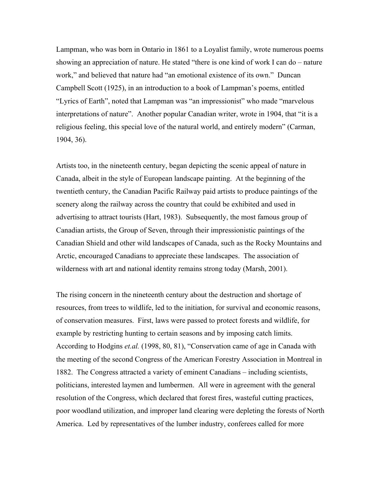Lampman, who was born in Ontario in 1861 to a Loyalist family, wrote numerous poems showing an appreciation of nature. He stated "there is one kind of work I can do – nature work," and believed that nature had "an emotional existence of its own." Duncan Campbell Scott (1925), in an introduction to a book of Lampman's poems, entitled "Lyrics of Earth", noted that Lampman was "an impressionist" who made "marvelous interpretations of nature". Another popular Canadian writer, wrote in 1904, that "it is a religious feeling, this special love of the natural world, and entirely modern" (Carman, 1904, 36).

Artists too, in the nineteenth century, began depicting the scenic appeal of nature in Canada, albeit in the style of European landscape painting. At the beginning of the twentieth century, the Canadian Pacific Railway paid artists to produce paintings of the scenery along the railway across the country that could be exhibited and used in advertising to attract tourists (Hart, 1983). Subsequently, the most famous group of Canadian artists, the Group of Seven, through their impressionistic paintings of the Canadian Shield and other wild landscapes of Canada, such as the Rocky Mountains and Arctic, encouraged Canadians to appreciate these landscapes. The association of wilderness with art and national identity remains strong today (Marsh, 2001).

The rising concern in the nineteenth century about the destruction and shortage of resources, from trees to wildlife, led to the initiation, for survival and economic reasons, of conservation measures. First, laws were passed to protect forests and wildlife, for example by restricting hunting to certain seasons and by imposing catch limits. According to Hodgins *et.al.* (1998, 80, 81), "Conservation came of age in Canada with the meeting of the second Congress of the American Forestry Association in Montreal in 1882. The Congress attracted a variety of eminent Canadians – including scientists, politicians, interested laymen and lumbermen. All were in agreement with the general resolution of the Congress, which declared that forest fires, wasteful cutting practices, poor woodland utilization, and improper land clearing were depleting the forests of North America. Led by representatives of the lumber industry, conferees called for more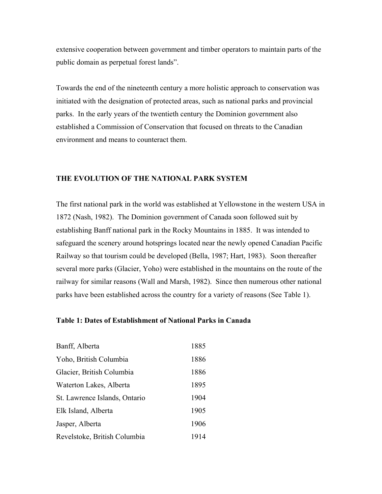extensive cooperation between government and timber operators to maintain parts of the public domain as perpetual forest lands".

Towards the end of the nineteenth century a more holistic approach to conservation was initiated with the designation of protected areas, such as national parks and provincial parks. In the early years of the twentieth century the Dominion government also established a Commission of Conservation that focused on threats to the Canadian environment and means to counteract them.

# **THE EVOLUTION OF THE NATIONAL PARK SYSTEM**

The first national park in the world was established at Yellowstone in the western USA in 1872 (Nash, 1982). The Dominion government of Canada soon followed suit by establishing Banff national park in the Rocky Mountains in 1885. It was intended to safeguard the scenery around hotsprings located near the newly opened Canadian Pacific Railway so that tourism could be developed (Bella, 1987; Hart, 1983). Soon thereafter several more parks (Glacier, Yoho) were established in the mountains on the route of the railway for similar reasons (Wall and Marsh, 1982). Since then numerous other national parks have been established across the country for a variety of reasons (See Table 1).

## **Table 1: Dates of Establishment of National Parks in Canada**

| Banff, Alberta                | 1885 |
|-------------------------------|------|
| Yoho, British Columbia        | 1886 |
| Glacier, British Columbia     | 1886 |
| Waterton Lakes, Alberta       | 1895 |
| St. Lawrence Islands, Ontario | 1904 |
| Elk Island, Alberta           | 1905 |
| Jasper, Alberta               | 1906 |
| Revelstoke, British Columbia  | 1914 |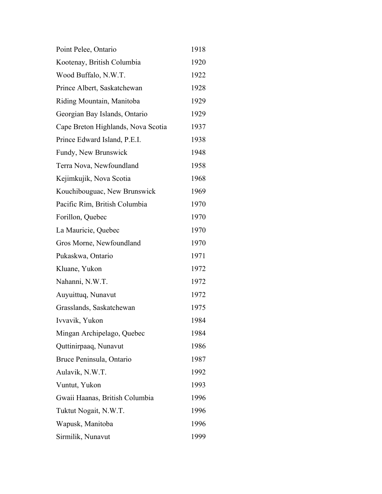| Point Pelee, Ontario               | 1918 |
|------------------------------------|------|
| Kootenay, British Columbia         | 1920 |
| Wood Buffalo, N.W.T.               | 1922 |
| Prince Albert, Saskatchewan        | 1928 |
| Riding Mountain, Manitoba          | 1929 |
| Georgian Bay Islands, Ontario      | 1929 |
| Cape Breton Highlands, Nova Scotia | 1937 |
| Prince Edward Island, P.E.I.       | 1938 |
| Fundy, New Brunswick               | 1948 |
| Terra Nova, Newfoundland           | 1958 |
| Kejimkujik, Nova Scotia            | 1968 |
| Kouchibouguac, New Brunswick       | 1969 |
| Pacific Rim, British Columbia      | 1970 |
| Forillon, Quebec                   | 1970 |
| La Mauricie, Quebec                | 1970 |
| Gros Morne, Newfoundland           | 1970 |
| Pukaskwa, Ontario                  | 1971 |
| Kluane, Yukon                      | 1972 |
| Nahanni, N.W.T.                    | 1972 |
| Auyuittuq, Nunavut                 | 1972 |
| Grasslands, Saskatchewan           | 1975 |
| Ivvavik, Yukon                     | 1984 |
| Mingan Archipelago, Quebec         | 1984 |
| Quttinirpaaq, Nunavut              | 1986 |
| Bruce Peninsula, Ontario           | 1987 |
| Aulavik, N.W.T.                    | 1992 |
| Vuntut, Yukon                      | 1993 |
| Gwaii Haanas, British Columbia     | 1996 |
| Tuktut Nogait, N.W.T.              | 1996 |
| Wapusk, Manitoba                   | 1996 |
| Sirmilik, Nunavut                  | 1999 |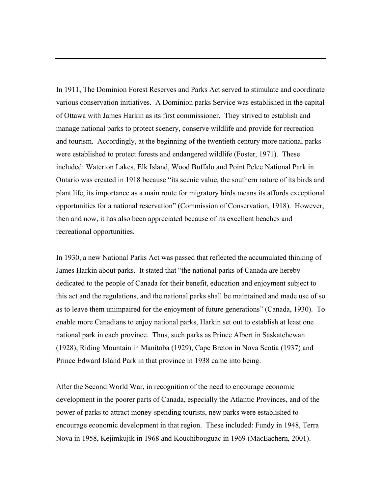In 1911, The Dominion Forest Reserves and Parks Act served to stimulate and coordinate various conservation initiatives. A Dominion parks Service was established in the capital of Ottawa with James Harkin as its first commissioner. They strived to establish and manage national parks to protect scenery, conserve wildlife and provide for recreation and tourism. Accordingly, at the beginning of the twentieth century more national parks were established to protect forests and endangered wildlife (Foster, 1971). These included: Waterton Lakes, Elk Island, Wood Buffalo and Point Pelee National Park in Ontario was created in 1918 because "its scenic value, the southern nature of its birds and plant life, its importance as a main route for migratory birds means its affords exceptional opportunities for a national reservation" (Commission of Conservation, 1918). However, then and now, it has also been appreciated because of its excellent beaches and recreational opportunities.

In 1930, a new National Parks Act was passed that reflected the accumulated thinking of James Harkin about parks. It stated that "the national parks of Canada are hereby dedicated to the people of Canada for their benefit, education and enjoyment subject to this act and the regulations, and the national parks shall be maintained and made use of so as to leave them unimpaired for the enjoyment of future generations" (Canada, 1930). To enable more Canadians to enjoy national parks, Harkin set out to establish at least one national park in each province. Thus, such parks as Prince Albert in Saskatchewan (1928), Riding Mountain in Manitoba (1929), Cape Breton in Nova Scotia (1937) and Prince Edward Island Park in that province in 1938 came into being.

After the Second World War, in recognition of the need to encourage economic development in the poorer parts of Canada, especially the Atlantic Provinces, and of the power of parks to attract money-spending tourists, new parks were established to encourage economic development in that region. These included: Fundy in 1948, Terra Nova in 1958, Kejimkujik in 1968 and Kouchibouguac in 1969 (MacEachern, 2001).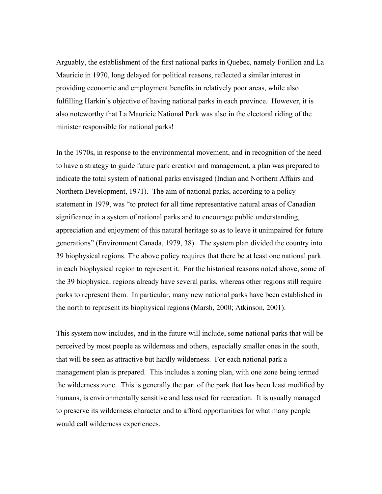Arguably, the establishment of the first national parks in Quebec, namely Forillon and La Mauricie in 1970, long delayed for political reasons, reflected a similar interest in providing economic and employment benefits in relatively poor areas, while also fulfilling Harkin's objective of having national parks in each province. However, it is also noteworthy that La Mauricie National Park was also in the electoral riding of the minister responsible for national parks!

In the 1970s, in response to the environmental movement, and in recognition of the need to have a strategy to guide future park creation and management, a plan was prepared to indicate the total system of national parks envisaged (Indian and Northern Affairs and Northern Development, 1971). The aim of national parks, according to a policy statement in 1979, was "to protect for all time representative natural areas of Canadian significance in a system of national parks and to encourage public understanding, appreciation and enjoyment of this natural heritage so as to leave it unimpaired for future generations" (Environment Canada, 1979, 38). The system plan divided the country into 39 biophysical regions. The above policy requires that there be at least one national park in each biophysical region to represent it. For the historical reasons noted above, some of the 39 biophysical regions already have several parks, whereas other regions still require parks to represent them. In particular, many new national parks have been established in the north to represent its biophysical regions (Marsh, 2000; Atkinson, 2001).

This system now includes, and in the future will include, some national parks that will be perceived by most people as wilderness and others, especially smaller ones in the south, that will be seen as attractive but hardly wilderness. For each national park a management plan is prepared. This includes a zoning plan, with one zone being termed the wilderness zone. This is generally the part of the park that has been least modified by humans, is environmentally sensitive and less used for recreation. It is usually managed to preserve its wilderness character and to afford opportunities for what many people would call wilderness experiences.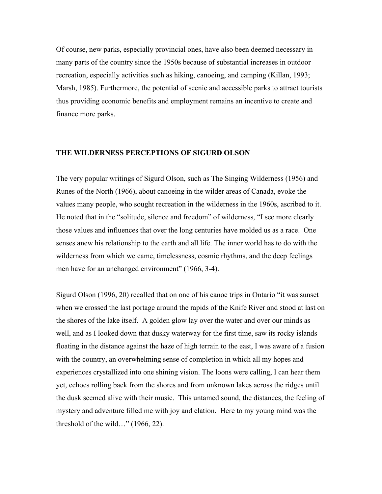Of course, new parks, especially provincial ones, have also been deemed necessary in many parts of the country since the 1950s because of substantial increases in outdoor recreation, especially activities such as hiking, canoeing, and camping (Killan, 1993; Marsh, 1985). Furthermore, the potential of scenic and accessible parks to attract tourists thus providing economic benefits and employment remains an incentive to create and finance more parks.

#### **THE WILDERNESS PERCEPTIONS OF SIGURD OLSON**

The very popular writings of Sigurd Olson, such as The Singing Wilderness (1956) and Runes of the North (1966), about canoeing in the wilder areas of Canada, evoke the values many people, who sought recreation in the wilderness in the 1960s, ascribed to it. He noted that in the "solitude, silence and freedom" of wilderness, "I see more clearly those values and influences that over the long centuries have molded us as a race. One senses anew his relationship to the earth and all life. The inner world has to do with the wilderness from which we came, timelessness, cosmic rhythms, and the deep feelings men have for an unchanged environment" (1966, 3-4).

Sigurd Olson (1996, 20) recalled that on one of his canoe trips in Ontario "it was sunset when we crossed the last portage around the rapids of the Knife River and stood at last on the shores of the lake itself. A golden glow lay over the water and over our minds as well, and as I looked down that dusky waterway for the first time, saw its rocky islands floating in the distance against the haze of high terrain to the east, I was aware of a fusion with the country, an overwhelming sense of completion in which all my hopes and experiences crystallized into one shining vision. The loons were calling, I can hear them yet, echoes rolling back from the shores and from unknown lakes across the ridges until the dusk seemed alive with their music. This untamed sound, the distances, the feeling of mystery and adventure filled me with joy and elation. Here to my young mind was the threshold of the wild…" (1966, 22).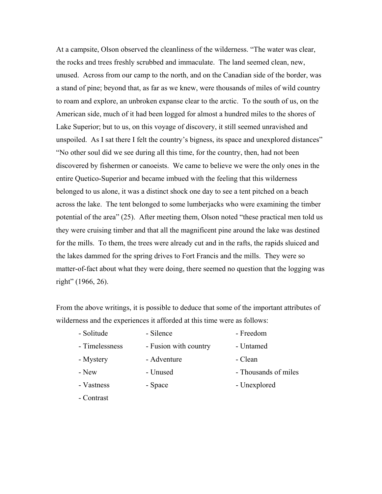At a campsite, Olson observed the cleanliness of the wilderness. "The water was clear, the rocks and trees freshly scrubbed and immaculate. The land seemed clean, new, unused. Across from our camp to the north, and on the Canadian side of the border, was a stand of pine; beyond that, as far as we knew, were thousands of miles of wild country to roam and explore, an unbroken expanse clear to the arctic. To the south of us, on the American side, much of it had been logged for almost a hundred miles to the shores of Lake Superior; but to us, on this voyage of discovery, it still seemed unravished and unspoiled. As I sat there I felt the country's bigness, its space and unexplored distances" "No other soul did we see during all this time, for the country, then, had not been discovered by fishermen or canoeists. We came to believe we were the only ones in the entire Quetico-Superior and became imbued with the feeling that this wilderness belonged to us alone, it was a distinct shock one day to see a tent pitched on a beach across the lake. The tent belonged to some lumberjacks who were examining the timber potential of the area" (25). After meeting them, Olson noted "these practical men told us they were cruising timber and that all the magnificent pine around the lake was destined for the mills. To them, the trees were already cut and in the rafts, the rapids sluiced and the lakes dammed for the spring drives to Fort Francis and the mills. They were so matter-of-fact about what they were doing, there seemed no question that the logging was right" (1966, 26).

From the above writings, it is possible to deduce that some of the important attributes of wilderness and the experiences it afforded at this time were as follows:

| - Solitude     | - Silence             | - Freedom            |
|----------------|-----------------------|----------------------|
| - Timelessness | - Fusion with country | - Untamed            |
| - Mystery      | - Adventure           | - Clean              |
| - New          | - Unused              | - Thousands of miles |
| - Vastness     | - Space               | - Unexplored         |
|                |                       |                      |

- Contrast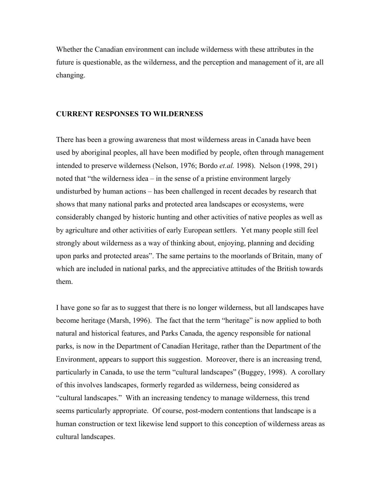Whether the Canadian environment can include wilderness with these attributes in the future is questionable, as the wilderness, and the perception and management of it, are all changing.

#### **CURRENT RESPONSES TO WILDERNESS**

There has been a growing awareness that most wilderness areas in Canada have been used by aboriginal peoples, all have been modified by people, often through management intended to preserve wilderness (Nelson, 1976; Bordo *et.al.* 1998). Nelson (1998, 291) noted that "the wilderness idea – in the sense of a pristine environment largely undisturbed by human actions – has been challenged in recent decades by research that shows that many national parks and protected area landscapes or ecosystems, were considerably changed by historic hunting and other activities of native peoples as well as by agriculture and other activities of early European settlers. Yet many people still feel strongly about wilderness as a way of thinking about, enjoying, planning and deciding upon parks and protected areas". The same pertains to the moorlands of Britain, many of which are included in national parks, and the appreciative attitudes of the British towards them.

I have gone so far as to suggest that there is no longer wilderness, but all landscapes have become heritage (Marsh, 1996). The fact that the term "heritage" is now applied to both natural and historical features, and Parks Canada, the agency responsible for national parks, is now in the Department of Canadian Heritage, rather than the Department of the Environment, appears to support this suggestion. Moreover, there is an increasing trend, particularly in Canada, to use the term "cultural landscapes" (Buggey, 1998). A corollary of this involves landscapes, formerly regarded as wilderness, being considered as "cultural landscapes." With an increasing tendency to manage wilderness, this trend seems particularly appropriate. Of course, post-modern contentions that landscape is a human construction or text likewise lend support to this conception of wilderness areas as cultural landscapes.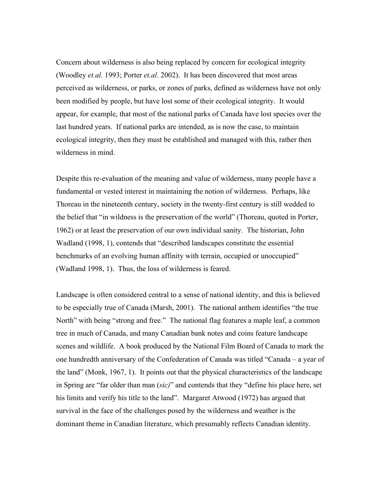Concern about wilderness is also being replaced by concern for ecological integrity (Woodley *et.al.* 1993; Porter *et.al*. 2002). It has been discovered that most areas perceived as wilderness, or parks, or zones of parks, defined as wilderness have not only been modified by people, but have lost some of their ecological integrity. It would appear, for example, that most of the national parks of Canada have lost species over the last hundred years. If national parks are intended, as is now the case, to maintain ecological integrity, then they must be established and managed with this, rather then wilderness in mind.

Despite this re-evaluation of the meaning and value of wilderness, many people have a fundamental or vested interest in maintaining the notion of wilderness. Perhaps, like Thoreau in the nineteenth century, society in the twenty-first century is still wedded to the belief that "in wildness is the preservation of the world" (Thoreau, quoted in Porter, 1962) or at least the preservation of our own individual sanity. The historian, John Wadland (1998, 1), contends that "described landscapes constitute the essential benchmarks of an evolving human affinity with terrain, occupied or unoccupied" (Wadland 1998, 1). Thus, the loss of wilderness is feared.

Landscape is often considered central to a sense of national identity, and this is believed to be especially true of Canada (Marsh, 2001). The national anthem identifies "the true North" with being "strong and free." The national flag features a maple leaf, a common tree in much of Canada, and many Canadian bank notes and coins feature landscape scenes and wildlife. A book produced by the National Film Board of Canada to mark the one hundredth anniversary of the Confederation of Canada was titled "Canada – a year of the land" (Monk, 1967, 1). It points out that the physical characteristics of the landscape in Spring are "far older than man (*sic)*" and contends that they "define his place here, set his limits and verify his title to the land". Margaret Atwood (1972) has argued that survival in the face of the challenges posed by the wilderness and weather is the dominant theme in Canadian literature, which presumably reflects Canadian identity.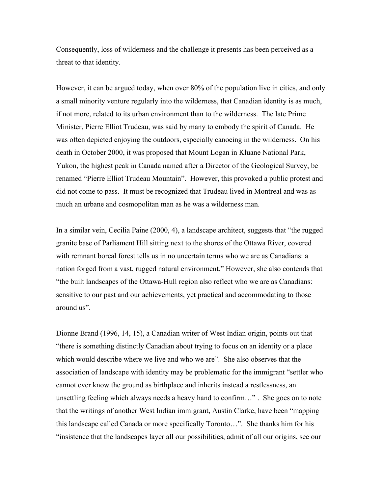Consequently, loss of wilderness and the challenge it presents has been perceived as a threat to that identity.

However, it can be argued today, when over 80% of the population live in cities, and only a small minority venture regularly into the wilderness, that Canadian identity is as much, if not more, related to its urban environment than to the wilderness. The late Prime Minister, Pierre Elliot Trudeau, was said by many to embody the spirit of Canada. He was often depicted enjoying the outdoors, especially canoeing in the wilderness. On his death in October 2000, it was proposed that Mount Logan in Kluane National Park, Yukon, the highest peak in Canada named after a Director of the Geological Survey, be renamed "Pierre Elliot Trudeau Mountain". However, this provoked a public protest and did not come to pass. It must be recognized that Trudeau lived in Montreal and was as much an urbane and cosmopolitan man as he was a wilderness man.

In a similar vein, Cecilia Paine (2000, 4), a landscape architect, suggests that "the rugged granite base of Parliament Hill sitting next to the shores of the Ottawa River, covered with remnant boreal forest tells us in no uncertain terms who we are as Canadians: a nation forged from a vast, rugged natural environment." However, she also contends that "the built landscapes of the Ottawa-Hull region also reflect who we are as Canadians: sensitive to our past and our achievements, yet practical and accommodating to those around us".

Dionne Brand (1996, 14, 15), a Canadian writer of West Indian origin, points out that "there is something distinctly Canadian about trying to focus on an identity or a place which would describe where we live and who we are". She also observes that the association of landscape with identity may be problematic for the immigrant "settler who cannot ever know the ground as birthplace and inherits instead a restlessness, an unsettling feeling which always needs a heavy hand to confirm…" . She goes on to note that the writings of another West Indian immigrant, Austin Clarke, have been "mapping this landscape called Canada or more specifically Toronto…". She thanks him for his "insistence that the landscapes layer all our possibilities, admit of all our origins, see our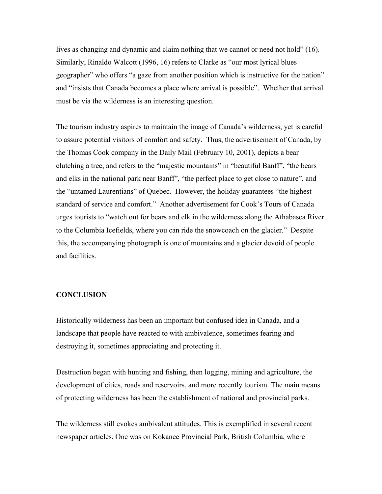lives as changing and dynamic and claim nothing that we cannot or need not hold" (16). Similarly, Rinaldo Walcott (1996, 16) refers to Clarke as "our most lyrical blues geographer" who offers "a gaze from another position which is instructive for the nation" and "insists that Canada becomes a place where arrival is possible". Whether that arrival must be via the wilderness is an interesting question.

The tourism industry aspires to maintain the image of Canada's wilderness, yet is careful to assure potential visitors of comfort and safety. Thus, the advertisement of Canada, by the Thomas Cook company in the Daily Mail (February 10, 2001), depicts a bear clutching a tree, and refers to the "majestic mountains" in "beautiful Banff", "the bears and elks in the national park near Banff", "the perfect place to get close to nature", and the "untamed Laurentians" of Quebec. However, the holiday guarantees "the highest standard of service and comfort." Another advertisement for Cook's Tours of Canada urges tourists to "watch out for bears and elk in the wilderness along the Athabasca River to the Columbia Icefields, where you can ride the snowcoach on the glacier." Despite this, the accompanying photograph is one of mountains and a glacier devoid of people and facilities.

## **CONCLUSION**

Historically wilderness has been an important but confused idea in Canada, and a landscape that people have reacted to with ambivalence, sometimes fearing and destroying it, sometimes appreciating and protecting it.

Destruction began with hunting and fishing, then logging, mining and agriculture, the development of cities, roads and reservoirs, and more recently tourism. The main means of protecting wilderness has been the establishment of national and provincial parks.

The wilderness still evokes ambivalent attitudes. This is exemplified in several recent newspaper articles. One was on Kokanee Provincial Park, British Columbia, where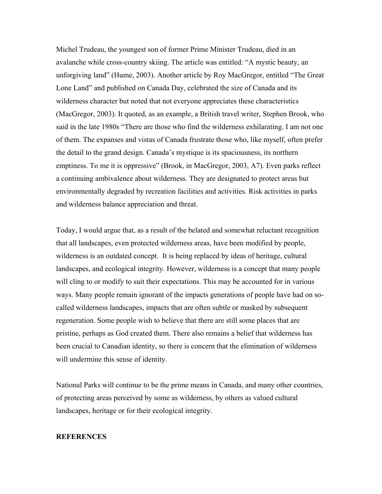Michel Trudeau, the youngest son of former Prime Minister Trudeau, died in an avalanche while cross-country skiing. The article was entitled: "A mystic beauty, an unforgiving land" (Hume, 2003). Another article by Roy MacGregor, entitled "The Great Lone Land" and published on Canada Day, celebrated the size of Canada and its wilderness character but noted that not everyone appreciates these characteristics (MacGregor, 2003). It quoted, as an example, a British travel writer, Stephen Brook, who said in the late 1980s "There are those who find the wilderness exhilarating. I am not one of them. The expanses and vistas of Canada frustrate those who, like myself, often prefer the detail to the grand design. Canada's mystique is its spaciousness, its northern emptiness. To me it is oppressive" (Brook, in MacGregor, 2003, A7). Even parks reflect a continuing ambivalence about wilderness. They are designated to protect areas but environmentally degraded by recreation facilities and activities. Risk activities in parks and wilderness balance appreciation and threat.

Today, I would argue that, as a result of the belated and somewhat reluctant recognition that all landscapes, even protected wilderness areas, have been modified by people, wilderness is an outdated concept. It is being replaced by ideas of heritage, cultural landscapes, and ecological integrity. However, wilderness is a concept that many people will cling to or modify to suit their expectations. This may be accounted for in various ways. Many people remain ignorant of the impacts generations of people have had on socalled wilderness landscapes, impacts that are often subtle or masked by subsequent regeneration. Some people wish to believe that there are still some places that are pristine, perhaps as God created them. There also remains a belief that wilderness has been crucial to Canadian identity, so there is concern that the elimination of wilderness will undermine this sense of identity.

National Parks will continue to be the prime means in Canada, and many other countries, of protecting areas perceived by some as wilderness, by others as valued cultural landscapes, heritage or for their ecological integrity.

#### **REFERENCES**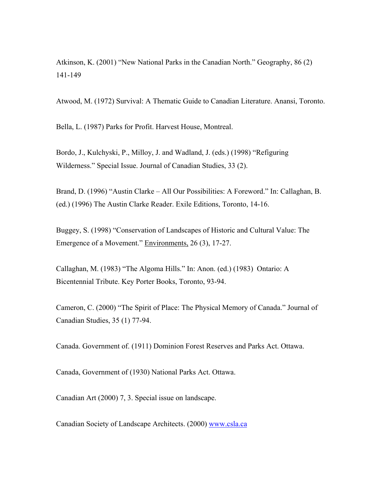Atkinson, K. (2001) "New National Parks in the Canadian North." Geography, 86 (2) 141-149

Atwood, M. (1972) Survival: A Thematic Guide to Canadian Literature. Anansi, Toronto.

Bella, L. (1987) Parks for Profit. Harvest House, Montreal.

Bordo, J., Kulchyski, P., Milloy, J. and Wadland, J. (eds.) (1998) "Refiguring Wilderness." Special Issue. Journal of Canadian Studies, 33 (2).

Brand, D. (1996) "Austin Clarke – All Our Possibilities: A Foreword." In: Callaghan, B. (ed.) (1996) The Austin Clarke Reader. Exile Editions, Toronto, 14-16.

Buggey, S. (1998) "Conservation of Landscapes of Historic and Cultural Value: The Emergence of a Movement." Environments, 26 (3), 17-27.

Callaghan, M. (1983) "The Algoma Hills." In: Anon. (ed.) (1983) Ontario: A Bicentennial Tribute. Key Porter Books, Toronto, 93-94.

Cameron, C. (2000) "The Spirit of Place: The Physical Memory of Canada." Journal of Canadian Studies, 35 (1) 77-94.

Canada. Government of. (1911) Dominion Forest Reserves and Parks Act. Ottawa.

Canada, Government of (1930) National Parks Act. Ottawa.

Canadian Art (2000) 7, 3. Special issue on landscape.

Canadian Society of Landscape Architects. (2000) [www.csla.ca](http://www.csla.ca/)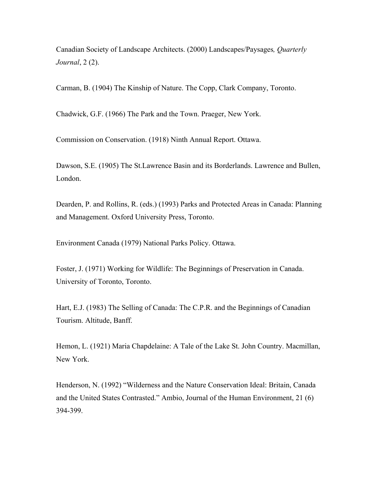Canadian Society of Landscape Architects. (2000) Landscapes/Paysages*, Quarterly Journal*, 2 (2).

Carman, B. (1904) The Kinship of Nature. The Copp, Clark Company, Toronto.

Chadwick, G.F. (1966) The Park and the Town. Praeger, New York.

Commission on Conservation. (1918) Ninth Annual Report. Ottawa.

Dawson, S.E. (1905) The St.Lawrence Basin and its Borderlands. Lawrence and Bullen, London.

Dearden, P. and Rollins, R. (eds.) (1993) Parks and Protected Areas in Canada: Planning and Management. Oxford University Press, Toronto.

Environment Canada (1979) National Parks Policy. Ottawa.

Foster, J. (1971) Working for Wildlife: The Beginnings of Preservation in Canada. University of Toronto, Toronto.

Hart, E.J. (1983) The Selling of Canada: The C.P.R. and the Beginnings of Canadian Tourism. Altitude, Banff.

Hemon, L. (1921) Maria Chapdelaine: A Tale of the Lake St. John Country. Macmillan, New York.

Henderson, N. (1992) "Wilderness and the Nature Conservation Ideal: Britain, Canada and the United States Contrasted." Ambio, Journal of the Human Environment, 21 (6) 394-399.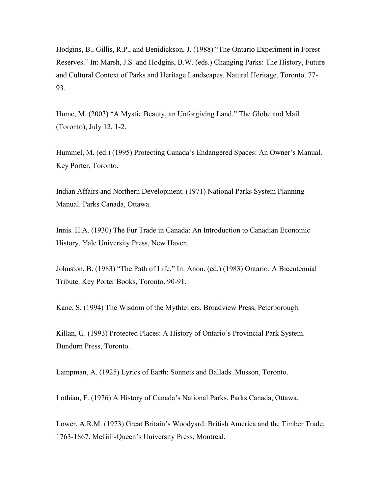Hodgins, B., Gillis, R.P., and Benidickson, J. (1988) "The Ontario Experiment in Forest Reserves." In: Marsh, J.S. and Hodgins, B.W. (eds.) Changing Parks: The History, Future and Cultural Context of Parks and Heritage Landscapes. Natural Heritage, Toronto. 77- 93.

Hume, M. (2003) "A Mystic Beauty, an Unforgiving Land." The Globe and Mail (Toronto), July 12, 1-2.

Hummel, M. (ed.) (1995) Protecting Canada's Endangered Spaces: An Owner's Manual. Key Porter, Toronto.

Indian Affairs and Northern Development. (1971) National Parks System Planning Manual. Parks Canada, Ottawa.

Innis. H.A. (1930) The Fur Trade in Canada: An Introduction to Canadian Economic History. Yale University Press, New Haven.

Johnston, B. (1983) "The Path of Life." In: Anon. (ed.) (1983) Ontario: A Bicentennial Tribute. Key Porter Books, Toronto. 90-91.

Kane, S. (1994) The Wisdom of the Mythtellers. Broadview Press, Peterborough.

Killan, G. (1993) Protected Places: A History of Ontario's Provincial Park System. Dundurn Press, Toronto.

Lampman, A. (1925) Lyrics of Earth: Sonnets and Ballads. Musson, Toronto.

Lothian, F. (1976) A History of Canada's National Parks. Parks Canada, Ottawa.

Lower, A.R.M. (1973) Great Britain's Woodyard: British America and the Timber Trade, 1763-1867. McGill-Queen's University Press, Montreal.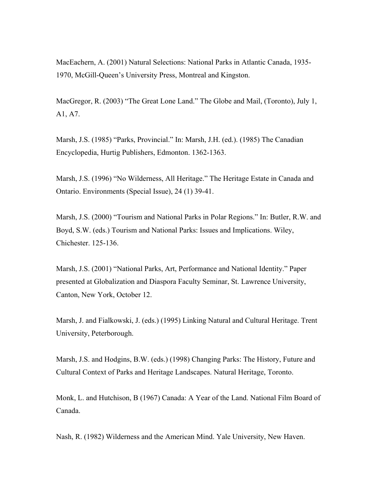MacEachern, A. (2001) Natural Selections: National Parks in Atlantic Canada, 1935- 1970, McGill-Queen's University Press, Montreal and Kingston.

MacGregor, R. (2003) "The Great Lone Land." The Globe and Mail, (Toronto), July 1, A1, A7.

Marsh, J.S. (1985) "Parks, Provincial." In: Marsh, J.H. (ed.). (1985) The Canadian Encyclopedia, Hurtig Publishers, Edmonton. 1362-1363.

Marsh, J.S. (1996) "No Wilderness, All Heritage." The Heritage Estate in Canada and Ontario. Environments (Special Issue), 24 (1) 39-41.

Marsh, J.S. (2000) "Tourism and National Parks in Polar Regions." In: Butler, R.W. and Boyd, S.W. (eds.) Tourism and National Parks: Issues and Implications. Wiley, Chichester. 125-136.

Marsh, J.S. (2001) "National Parks, Art, Performance and National Identity." Paper presented at Globalization and Diaspora Faculty Seminar, St. Lawrence University, Canton, New York, October 12.

Marsh, J. and Fialkowski, J. (eds.) (1995) Linking Natural and Cultural Heritage. Trent University, Peterborough.

Marsh, J.S. and Hodgins, B.W. (eds.) (1998) Changing Parks: The History, Future and Cultural Context of Parks and Heritage Landscapes. Natural Heritage, Toronto.

Monk, L. and Hutchison, B (1967) Canada: A Year of the Land. National Film Board of Canada.

Nash, R. (1982) Wilderness and the American Mind. Yale University, New Haven.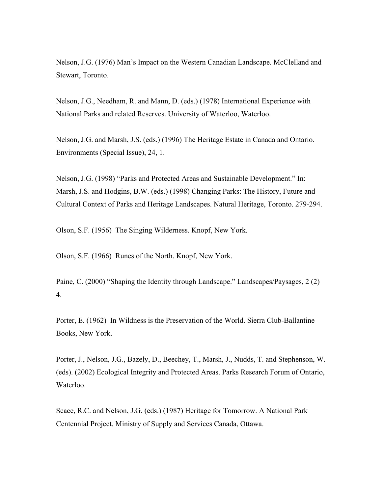Nelson, J.G. (1976) Man's Impact on the Western Canadian Landscape. McClelland and Stewart, Toronto.

Nelson, J.G., Needham, R. and Mann, D. (eds.) (1978) International Experience with National Parks and related Reserves. University of Waterloo, Waterloo.

Nelson, J.G. and Marsh, J.S. (eds.) (1996) The Heritage Estate in Canada and Ontario. Environments (Special Issue), 24, 1.

Nelson, J.G. (1998) "Parks and Protected Areas and Sustainable Development." In: Marsh, J.S. and Hodgins, B.W. (eds.) (1998) Changing Parks: The History, Future and Cultural Context of Parks and Heritage Landscapes. Natural Heritage, Toronto. 279-294.

Olson, S.F. (1956) The Singing Wilderness. Knopf, New York.

Olson, S.F. (1966) Runes of the North. Knopf, New York.

Paine, C. (2000) "Shaping the Identity through Landscape." Landscapes/Paysages, 2 (2) 4.

Porter, E. (1962) In Wildness is the Preservation of the World. Sierra Club-Ballantine Books, New York.

Porter, J., Nelson, J.G., Bazely, D., Beechey, T., Marsh, J., Nudds, T. and Stephenson, W. (eds). (2002) Ecological Integrity and Protected Areas. Parks Research Forum of Ontario, Waterloo.

Scace, R.C. and Nelson, J.G. (eds.) (1987) Heritage for Tomorrow. A National Park Centennial Project. Ministry of Supply and Services Canada, Ottawa.